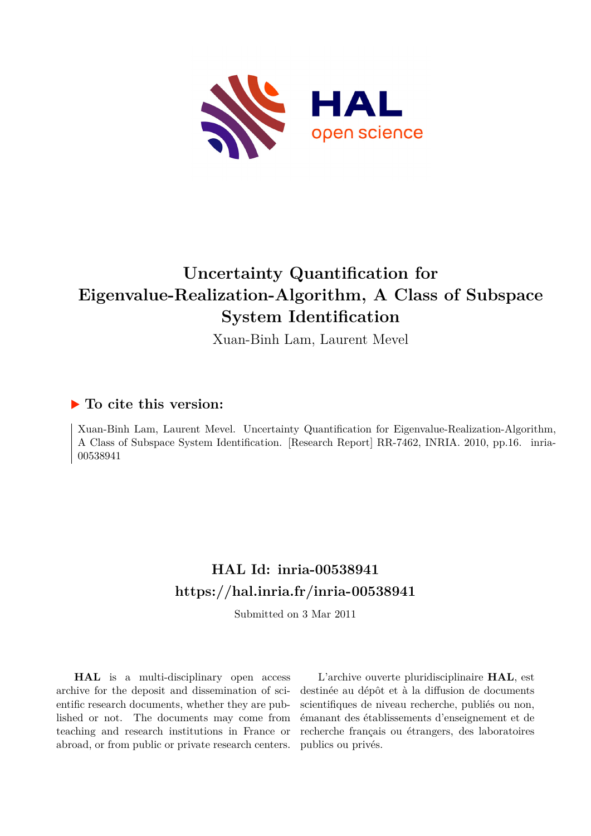

# **Uncertainty Quantification for Eigenvalue-Realization-Algorithm, A Class of Subspace System Identification**

Xuan-Binh Lam, Laurent Mevel

## **To cite this version:**

Xuan-Binh Lam, Laurent Mevel. Uncertainty Quantification for Eigenvalue-Realization-Algorithm, A Class of Subspace System Identification. [Research Report] RR-7462, INRIA. 2010, pp.16. inria-00538941

## **HAL Id: inria-00538941 <https://hal.inria.fr/inria-00538941>**

Submitted on 3 Mar 2011

**HAL** is a multi-disciplinary open access archive for the deposit and dissemination of scientific research documents, whether they are published or not. The documents may come from teaching and research institutions in France or abroad, or from public or private research centers.

L'archive ouverte pluridisciplinaire **HAL**, est destinée au dépôt et à la diffusion de documents scientifiques de niveau recherche, publiés ou non, émanant des établissements d'enseignement et de recherche français ou étrangers, des laboratoires publics ou privés.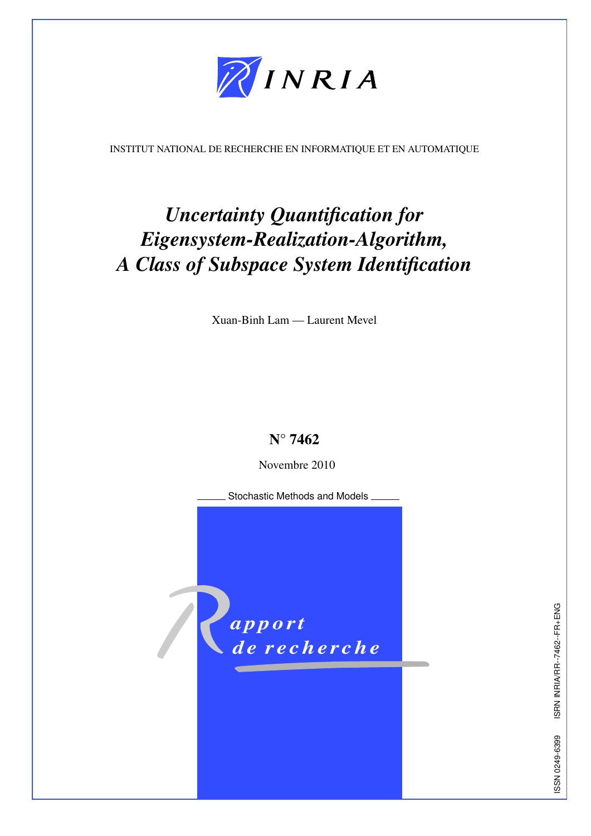

<span id="page-1-0"></span>INSTITUT NATIONAL DE RECHERCHE EN INFORMATIQUE ET EN AUTOMATIQUE

# *Uncertainty Quantification for Eigensystem-Realization-Algorithm, A Class of Subspace System Identification*

Xuan-Binh Lam — Laurent Mevel

## N° 7462

Novembre 2010

Stochastic Methods and Models

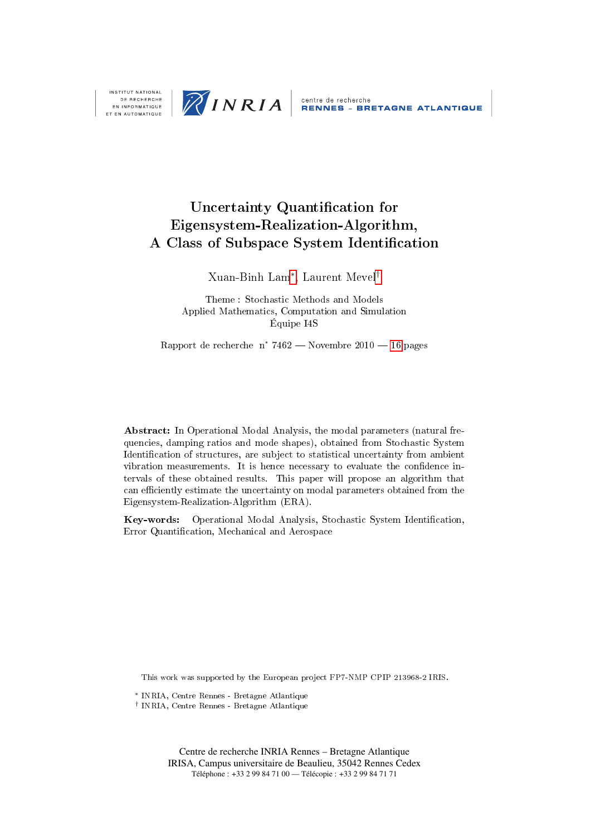

DE RECHERCHE EN INFORMATIQUE ET EN AUTOMATIQUE

## Uncertainty Quantification for Eigensystem-Realization-Algorithm, A Class of Subspace System Identification

Xuan-Binh Lam<sup>[∗](#page-1-0)</sup>, Laurent Mevel<sup>[†](#page-1-0)</sup>

Theme : Stochastic Methods and Models Applied Mathematics, Computation and Simulation Équipe I4S

Rapport de recherche n° 7462 – Novembre  $2010 - 16$  pages

Abstract: In Operational Modal Analysis, the modal parameters (natural frequencies, damping ratios and mode shapes), obtained from Stochastic System Identification of structures, are subject to statistical uncertainty from ambient vibration measurements. It is hence necessary to evaluate the confidence intervals of these obtained results. This paper will propose an algorithm that can efficiently estimate the uncertainty on modal parameters obtained from the Eigensystem-Realization-Algorithm (ERA).

Key-words: Operational Modal Analysis, Stochastic System Identification, Error Quantification, Mechanical and Aerospace

This work was supported by the European project FP7-NMP CPIP 213968-2 IRIS.

 $*$  INRIA, Centre Rennes - Bretagne Atlantique

† INRIA, Centre Rennes - Bretagne Atlantique

Centre de recherche INRIA Rennes – Bretagne Atlantique IRISA, Campus universitaire de Beaulieu, 35042 Rennes Cedex Téléphone : +33 2 99 84 71 00 — Télécopie : +33 2 99 84 71 71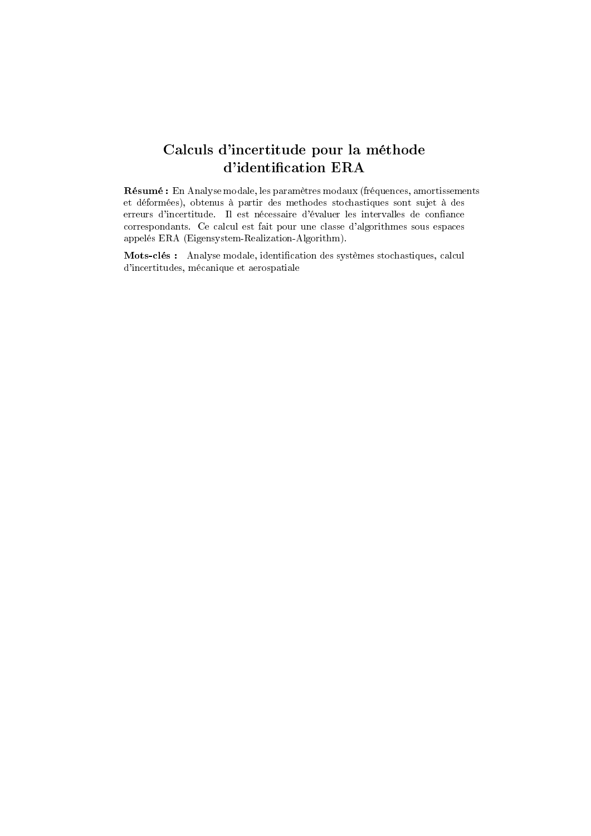## Calculs d'incertitude pour la méthode d'identification ERA

Résumé : En Analyse modale, les paramètres modaux (fréquences, amortissements et déformées), obtenus à partir des methodes stochastiques sont sujet à des erreurs d'incertitude. Il est nécessaire d'évaluer les intervalles de confiance correspondants. Ce calcul est fait pour une classe d'algorithmes sous espaces appelés ERA (Eigensystem-Realization-Algorithm).

Mots-clés : Analyse modale, identification des systèmes stochastiques, calcul d'incertitudes, mécanique et aerospatiale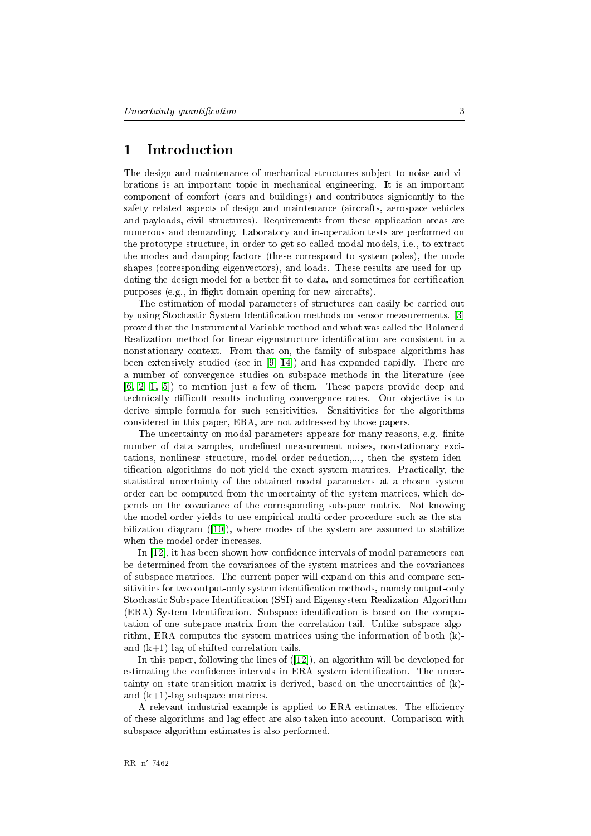#### <span id="page-5-0"></span>Introduction 1

The design and maintenance of mechanical structures subject to noise and vibrations is an important topic in mechanical engineering. It is an important component of comfort (cars and buildings) and contributes signicantly to the safety related aspects of design and maintenance (aircrafts, aerospace vehicles and payloads, civil structures). Requirements from these application areas are numerous and demanding. Laboratory and in-operation tests are performed on the prototype structure, in order to get so-called modal models, i.e., to extract the modes and damping factors (these correspond to system poles), the mode shapes (corresponding eigenvectors), and loads. These results are used for updating the design model for a better fit to data, and sometimes for certification purposes (e.g., in flight domain opening for new aircrafts).

The estimation of modal parameters of structures can easily be carried out by using Stochastic System Identification methods on sensor measurements. [3] proved that the Instrumental Variable method and what was called the Balanced Realization method for linear eigenstructure identification are consistent in a nonstationary context. From that on, the family of subspace algorithms has been extensively studied (see in [9, 14]) and has expanded rapidly. There are a number of convergence studies on subspace methods in the literature (see  $[6, 2, 1, 5]$  to mention just a few of them. These papers provide deep and technically difficult results including convergence rates. Our objective is to derive simple formula for such sensitivities. Sensitivities for the algorithms considered in this paper, ERA, are not addressed by those papers.

The uncertainty on modal parameters appears for many reasons, e.g. finite number of data samples, undefined measurement noises, nonstationary excitations, nonlinear structure, model order reduction,..., then the system identification algorithms do not yield the exact system matrices. Practically, the statistical uncertainty of the obtained modal parameters at a chosen system order can be computed from the uncertainty of the system matrices, which depends on the covariance of the corresponding subspace matrix. Not knowing the model order yields to use empirical multi-order procedure such as the stabilization diagram (10), where modes of the system are assumed to stabilize when the model order increases.

In [12], it has been shown how confidence intervals of modal parameters can be determined from the covariances of the system matrices and the covariances of subspace matrices. The current paper will expand on this and compare sensitivities for two output-only system identification methods, namely output-only Stochastic Subspace Identification (SSI) and Eigensystem-Realization-Algorithm (ERA) System Identification. Subspace identification is based on the computation of one subspace matrix from the correlation tail. Unlike subspace algorithm, ERA computes the system matrices using the information of both (k)and  $(k+1)$ -lag of shifted correlation tails.

In this paper, following the lines of  $(12)$ , an algorithm will be developed for estimating the confidence intervals in ERA system identification. The uncertainty on state transition matrix is derived, based on the uncertainties of (k)and  $(k+1)$ -lag subspace matrices.

A relevant industrial example is applied to ERA estimates. The efficiency of these algorithms and lag effect are also taken into account. Comparison with subspace algorithm estimates is also performed.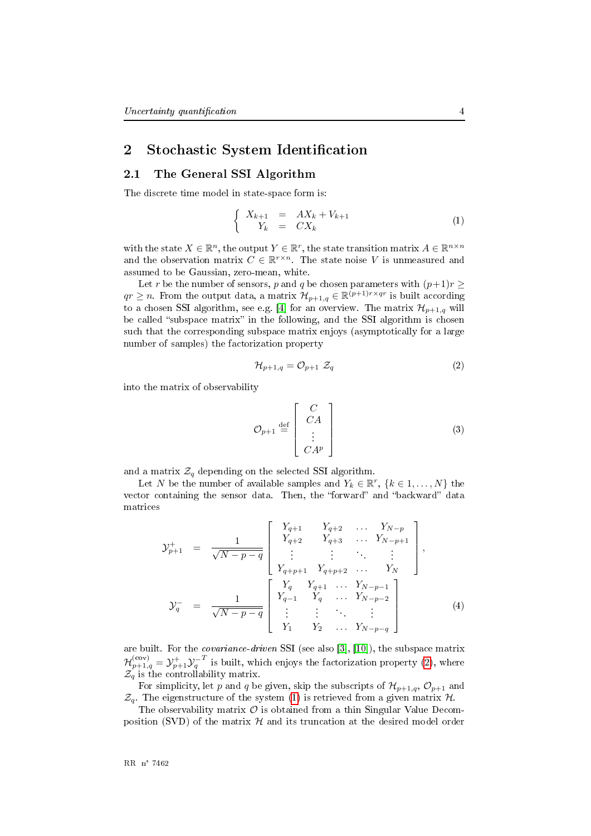## <span id="page-6-2"></span>2 Stochastic System Identification

### <span id="page-6-3"></span>2.1 The General SSI Algorithm

The discrete time model in state-space form is:

<span id="page-6-1"></span>
$$
\begin{cases}\nX_{k+1} = AX_k + V_{k+1} \\
Y_k = CX_k\n\end{cases} \tag{1}
$$

with the state  $X \in \mathbb{R}^n$ , the output  $Y \in \mathbb{R}^r$ , the state transition matrix  $A \in \mathbb{R}^{n \times n}$ and the observation matrix  $C \in \mathbb{R}^{r \times n}$ . The state noise V is unmeasured and assumed to be Gaussian, zero-mean, white.

Let r be the number of sensors, p and q be chosen parameters with  $(p+1)r \geq$  $qr \geq n$ . From the output data, a matrix  $\mathcal{H}_{p+1,q} \in \mathbb{R}^{(p+1)r \times qr}$  is built according to a chosen SSI algorithm, see e.g. [4] for an overview. The matrix  $\mathcal{H}_{p+1,q}$  will be called "subspace matrix" in the following, and the SSI algorithm is chosen such that the corresponding subspace matrix enjoys (asymptotically for a large number of samples) the factorization property

<span id="page-6-0"></span>
$$
\mathcal{H}_{p+1,q} = \mathcal{O}_{p+1} \ \mathcal{Z}_q \tag{2}
$$

into the matrix of observability

$$
\mathcal{O}_{p+1} \stackrel{\text{def}}{=} \begin{bmatrix} C \\ CA \\ \vdots \\ CA^p \end{bmatrix} \tag{3}
$$

and a matrix  $\mathcal{Z}_q$  depending on the selected SSI algorithm.

Let N be the number of available samples and  $Y_k \in \mathbb{R}^r$ ,  $\{k \in 1, \ldots, N\}$  the vector containing the sensor data. Then, the "forward" and "backward" data matrices

$$
\mathcal{Y}_{p+1}^{+} = \frac{1}{\sqrt{N-p-q}} \begin{bmatrix} Y_{q+1} & Y_{q+2} & \dots & Y_{N-p} \\ Y_{q+2} & Y_{q+3} & \dots & Y_{N-p+1} \\ \vdots & \vdots & \ddots & \vdots \\ Y_{q+p+1} & Y_{q+p+2} & \dots & Y_N \end{bmatrix},
$$

$$
\mathcal{Y}_{q}^{-} = \frac{1}{\sqrt{N-p-q}} \begin{bmatrix} Y_{q} & Y_{q+1} & \dots & Y_{N-p-1} \\ Y_{q-1} & Y_{q} & \dots & Y_{N-p-2} \\ \vdots & \vdots & \ddots & \vdots \\ Y_{1} & Y_{2} & \dots & Y_{N-p-q} \end{bmatrix} (4)
$$

are built. For the *covariance-driven* SSI (see also [3], [10]), the subspace matrix  $\mathcal{H}^{(\text{cov})}_{p+1,q} = \mathcal{Y}^+_{p+1} \mathcal{Y}^{-T}_q$  is built, which enjoys the factorization property (2), where  $\mathcal{Z}_q$  is the controllability matrix.

For simplicity, let p and q be given, skip the subscripts of  $\mathcal{H}_{p+1,q}$ ,  $\mathcal{O}_{p+1}$  and  $\mathcal{Z}_q$ . The eigenstructure of the system (1) is retrieved from a given matrix  $\mathcal{H}$ .

The observability matrix  $\mathcal O$  is obtained from a thin Singular Value Decomposition (SVD) of the matrix  $H$  and its truncation at the desired model order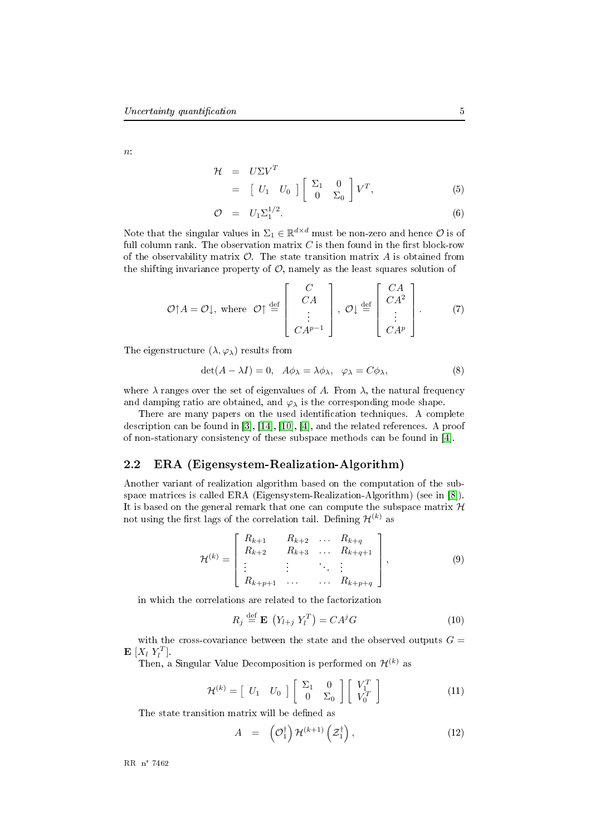$\overline{n}$ 

$$
\mathcal{H} = U\Sigma V^T
$$
  
=  $\begin{bmatrix} U_1 & U_0 \end{bmatrix} \begin{bmatrix} \Sigma_1 & 0 \\ 0 & \Sigma_0 \end{bmatrix} V^T,$  (5)

$$
\mathcal{O} = U_1 \Sigma_1^{1/2}.
$$
\n
$$
(6)
$$

Note that the singular values in  $\Sigma_1 \in \mathbb{R}^{d \times d}$  must be non-zero and hence  $\mathcal{O}$  is of full column rank. The observation matrix  $C$  is then found in the first block-row of the observability matrix  $\mathcal O$ . The state transition matrix  $A$  is obtained from the shifting invariance property of  $\mathcal{O}$ , namely as the least squares solution of

$$
\mathcal{O}\uparrow A = \mathcal{O}\downarrow, \text{ where } \mathcal{O}\uparrow \stackrel{\text{def}}{=} \left[\begin{array}{c} C \\ CA \\ \vdots \\ CA^{p-1} \end{array}\right], \mathcal{O}\downarrow \stackrel{\text{def}}{=} \left[\begin{array}{c} CA \\ CA^2 \\ \vdots \\ CA^p \end{array}\right]. \tag{7}
$$

The eigenstructure  $(\lambda, \varphi_{\lambda})$  results from

$$
\det(A - \lambda I) = 0, \quad A\phi_{\lambda} = \lambda \phi_{\lambda}, \quad \varphi_{\lambda} = C\phi_{\lambda}, \tag{8}
$$

where  $\lambda$  ranges over the set of eigenvalues of A. From  $\lambda$ , the natural frequency and damping ratio are obtained, and  $\varphi_{\lambda}$  is the corresponding mode shape.

There are many papers on the used identification techniques. A complete description can be found in [3], [14], [10], [4], and the related references. A proof of non-stationary consistency of these subspace methods can be found in [4].

#### <span id="page-7-0"></span>2.2 ERA (Eigensystem-Realization-Algorithm)

Another variant of realization algorithm based on the computation of the subspace matrices is called ERA (Eigensystem-Realization-Algorithm) (see in [8]). It is based on the general remark that one can compute the subspace matrix  $\mathcal H$ not using the first lags of the correlation tail. Defining  $\mathcal{H}^{(k)}$  as

$$
\mathcal{H}^{(k)} = \begin{bmatrix} R_{k+1} & R_{k+2} & \dots & R_{k+q} \\ R_{k+2} & R_{k+3} & \dots & R_{k+q+1} \\ \vdots & \vdots & \ddots & \vdots \\ R_{k+p+1} & \dots & \dots & R_{k+p+q} \end{bmatrix},\tag{9}
$$

in which the correlations are related to the factorization

$$
R_j \stackrel{\text{def}}{=} \mathbf{E} \left( Y_{l+j} \ Y_l^T \right) = C A^j G \tag{10}
$$

with the cross-covariance between the state and the observed outputs  $G =$  $\mathbf{E}\left[X_l\ Y_l^T\right]$ .

Then, a Singular Value Decomposition is performed on  $\mathcal{H}^{(k)}$  as

$$
\mathcal{H}^{(k)} = \begin{bmatrix} U_1 & U_0 \end{bmatrix} \begin{bmatrix} \Sigma_1 & 0 \\ 0 & \Sigma_0 \end{bmatrix} \begin{bmatrix} V_1^T \\ V_0^T \end{bmatrix}
$$
(11)

The state transition matrix will be defined as

$$
A = \left(\mathcal{O}_1^{\dagger}\right) \mathcal{H}^{(k+1)}\left(\mathcal{Z}_1^{\dagger}\right), \tag{12}
$$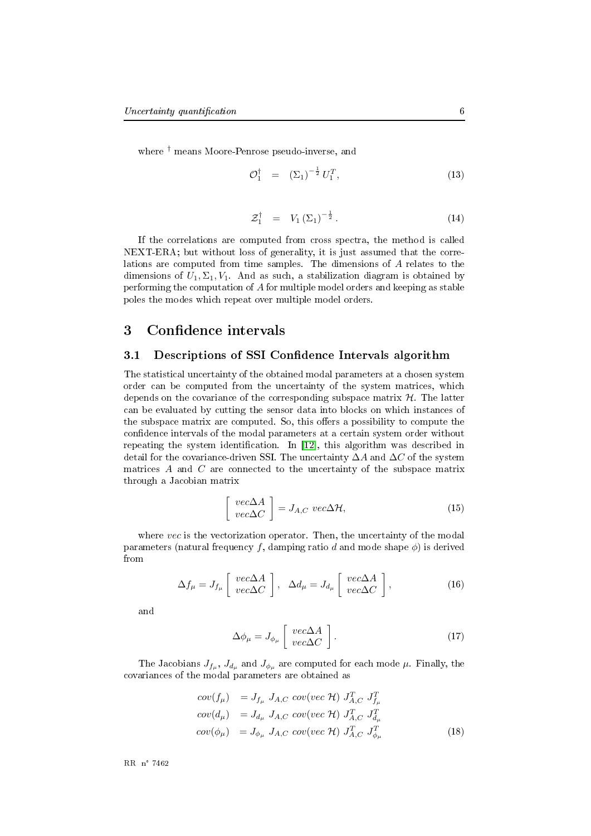where <sup>†</sup> means Moore-Penrose pseudo-inverse, and

$$
\mathcal{O}_1^{\dagger} = (\Sigma_1)^{-\frac{1}{2}} U_1^T, \tag{13}
$$

$$
\mathcal{Z}_1^\dagger = V_1 \left( \Sigma_1 \right)^{-\frac{1}{2}}.
$$
 (14)

If the correlations are computed from cross spectra, the method is called NEXT-ERA; but without loss of generality, it is just assumed that the correlations are computed from time samples. The dimensions of A relates to the dimensions of  $U_1, \Sigma_1, V_1$ . And as such, a stabilization diagram is obtained by performing the computation of  $A$  for multiple model orders and keeping as stable poles the modes which repeat over multiple model orders.

### <span id="page-8-0"></span>3 Confidence intervals

### <span id="page-8-1"></span>3.1 Descriptions of SSI Confidence Intervals algorithm

The statistical uncertainty of the obtained modal parameters at a chosen system order can be computed from the uncertainty of the system matrices, which depends on the covariance of the corresponding subspace matrix  $H$ . The latter can be evaluated by cutting the sensor data into blocks on which instances of the subspace matrix are computed. So, this offers a possibility to compute the confidence intervals of the modal parameters at a certain system order without repeating the system identification. In [12], this algorithm was described in detail for the covariance-driven SSI. The uncertainty  $\Delta A$  and  $\Delta C$  of the system matrices  $A$  and  $C$  are connected to the uncertainty of the subspace matrix through a Jacobian matrix

$$
\left[\begin{array}{c} vec\Delta A\\ vec\Delta C \end{array}\right] = J_{A,C} vec\Delta \mathcal{H},\tag{15}
$$

where vec is the vectorization operator. Then, the uncertainty of the modal parameters (natural frequency f, damping ratio d and mode shape  $\phi$ ) is derived from

$$
\Delta f_{\mu} = J_{f_{\mu}} \left[ \begin{array}{c} vec\Delta A \\ vec\Delta C \end{array} \right], \quad \Delta d_{\mu} = J_{d_{\mu}} \left[ \begin{array}{c} vec\Delta A \\ vec\Delta C \end{array} \right], \tag{16}
$$

and

$$
\Delta \phi_{\mu} = J_{\phi_{\mu}} \left[ \begin{array}{c} vec\Delta A \\ vec\Delta C \end{array} \right]. \tag{17}
$$

The Jacobians  $J_{f_\mu}, J_{d_\mu}$  and  $J_{\phi_\mu}$  are computed for each mode  $\mu$ . Finally, the covariances of the modal parameters are obtained as

$$
cov(f_{\mu}) = J_{f_{\mu}} J_{A,C} cov(vec \mathcal{H}) J_{A,C}^T J_{f_{\mu}}^T
$$
  
\n
$$
cov(d_{\mu}) = J_{d_{\mu}} J_{A,C} cov(vec \mathcal{H}) J_{A,C}^T J_{d_{\mu}}^T
$$
  
\n
$$
cov(\phi_{\mu}) = J_{\phi_{\mu}} J_{A,C} cov(vec \mathcal{H}) J_{A,C}^T J_{\phi_{\mu}}^T
$$
\n(18)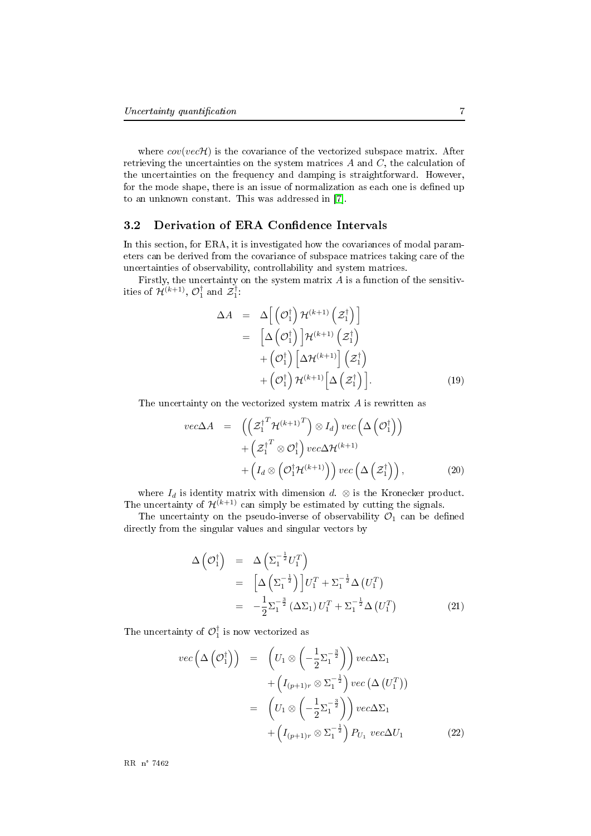where  $cov(vec\mathcal{H})$  is the covariance of the vectorized subspace matrix. After retrieving the uncertainties on the system matrices  $A$  and  $C$ , the calculation of the uncertainties on the frequency and damping is straightforward. However, for the mode shape, there is an issue of normalization as each one is defined up to an unknown constant. This was addressed in [7].

#### <span id="page-9-0"></span>3.2 Derivation of ERA Confidence Intervals

In this section, for ERA, it is investigated how the covariances of modal parameters can be derived from the covariance of subspace matrices taking care of the uncertainties of observability, controllability and system matrices.

Firstly, the uncertainty on the system matrix  $A$  is a function of the sensitivities of  $\mathcal{H}^{(k+1)}$ ,  $\mathcal{O}_1^{\dagger}$  and  $\mathcal{Z}_1^{\dagger}$ .

$$
\Delta A = \Delta \left[ \left( \mathcal{O}_1^{\dagger} \right) \mathcal{H}^{(k+1)} \left( \mathcal{Z}_1^{\dagger} \right) \right]
$$
  
\n
$$
= \left[ \Delta \left( \mathcal{O}_1^{\dagger} \right) \right] \mathcal{H}^{(k+1)} \left( \mathcal{Z}_1^{\dagger} \right)
$$
  
\n
$$
+ \left( \mathcal{O}_1^{\dagger} \right) \left[ \Delta \mathcal{H}^{(k+1)} \right] \left( \mathcal{Z}_1^{\dagger} \right)
$$
  
\n
$$
+ \left( \mathcal{O}_1^{\dagger} \right) \mathcal{H}^{(k+1)} \left[ \Delta \left( \mathcal{Z}_1^{\dagger} \right) \right]. \tag{19}
$$

The uncertainty on the vectorized system matrix  $A$  is rewritten as

$$
vec\Delta A = \left( \left( \mathcal{Z}_1^{\dagger T} \mathcal{H}^{(k+1)T} \right) \otimes I_d \right) vec \left( \Delta \left( \mathcal{O}_1^{\dagger} \right) \right) + \left( \mathcal{Z}_1^{\dagger T} \otimes \mathcal{O}_1^{\dagger} \right) vec \Delta \mathcal{H}^{(k+1)} + \left( I_d \otimes \left( \mathcal{O}_1^{\dagger} \mathcal{H}^{(k+1)} \right) \right) vec \left( \Delta \left( \mathcal{Z}_1^{\dagger} \right) \right),
$$
(20)

where  $I_d$  is identity matrix with dimension  $d. \otimes$  is the Kronecker product. The uncertainty of  $\mathcal{H}^{(k+1)}$  can simply be estimated by cutting the signals.

The uncertainty on the pseudo-inverse of observability  $\mathcal{O}_1$  can be defined directly from the singular values and singular vectors by

$$
\Delta\left(\mathcal{O}_1^{\dagger}\right) = \Delta\left(\Sigma_1^{-\frac{1}{2}}U_1^T\right)
$$
  
\n
$$
= \left[\Delta\left(\Sigma_1^{-\frac{1}{2}}\right)\right]U_1^T + \Sigma_1^{-\frac{1}{2}}\Delta\left(U_1^T\right)
$$
  
\n
$$
= -\frac{1}{2}\Sigma_1^{-\frac{3}{2}}\left(\Delta\Sigma_1\right)U_1^T + \Sigma_1^{-\frac{1}{2}}\Delta\left(U_1^T\right)
$$
(21)

The uncertainty of  $\mathcal{O}_1^{\dagger}$  is now vectorized as

$$
vec\left(\Delta\left(\mathcal{O}_1^{\dagger}\right)\right) = \left(U_1 \otimes \left(-\frac{1}{2} \Sigma_1^{-\frac{3}{2}}\right)\right) vec\Delta \Sigma_1
$$
  
+ 
$$
\left(I_{(p+1)r} \otimes \Sigma_1^{-\frac{1}{2}}\right) vec\left(\Delta\left(U_1^T\right)\right)
$$
  
= 
$$
\left(U_1 \otimes \left(-\frac{1}{2} \Sigma_1^{-\frac{3}{2}}\right)\right) vec\Delta \Sigma_1
$$
  
+ 
$$
\left(I_{(p+1)r} \otimes \Sigma_1^{-\frac{1}{2}}\right) P_{U_1} vec\Delta U_1
$$
 (22)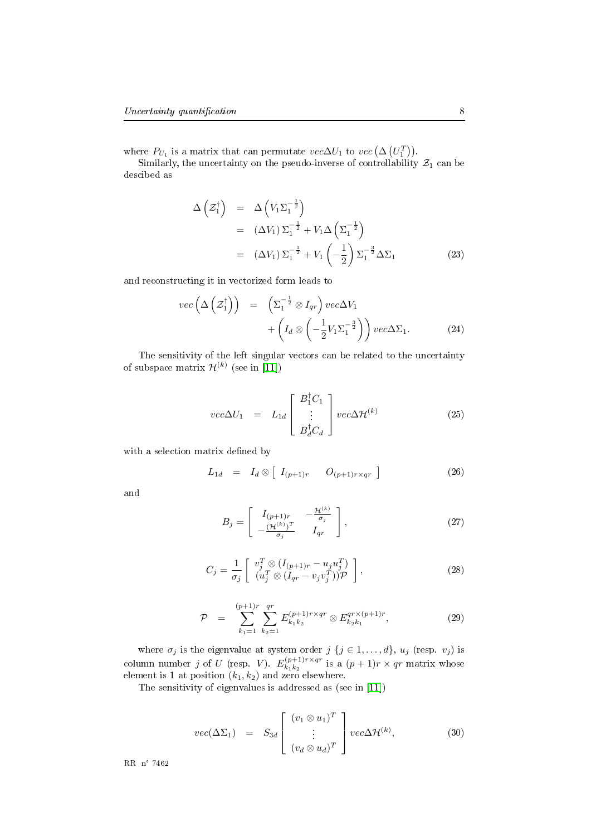where  $P_{U_1}$  is a matrix that can permutate  $vec\Delta U_1$  to  $vec\left(\Delta \left(U_1^T\right)\right)$ .

Similarly, the uncertainty on the pseudo-inverse of controllability  $\mathcal{Z}_1$  can be descibed as

$$
\Delta\left(\mathcal{Z}_1^{\dagger}\right) = \Delta\left(V_1\Sigma_1^{-\frac{1}{2}}\right)
$$
  
\n
$$
= (\Delta V_1)\Sigma_1^{-\frac{1}{2}} + V_1\Delta\left(\Sigma_1^{-\frac{1}{2}}\right)
$$
  
\n
$$
= (\Delta V_1)\Sigma_1^{-\frac{1}{2}} + V_1\left(-\frac{1}{2}\right)\Sigma_1^{-\frac{3}{2}}\Delta\Sigma_1
$$
 (23)

and reconstructing it in vectorized form leads to

$$
vec\left(\Delta\left(\mathcal{Z}_{1}^{\dagger}\right)\right) = \left(\Sigma_{1}^{-\frac{1}{2}} \otimes I_{qr}\right) vec\Delta V_{1} + \left(I_{d} \otimes \left(-\frac{1}{2}V_{1}\Sigma_{1}^{-\frac{3}{2}}\right)\right) vec\Delta\Sigma_{1}.
$$
 (24)

The sensitivity of the left singular vectors can be related to the uncertainty of subspace matrix  $\mathcal{H}^{(k)}$  (see in [11])

$$
vec\Delta U_1 = L_{1d} \begin{bmatrix} B_1^{\dagger} C_1 \\ \vdots \\ B_d^{\dagger} C_d \end{bmatrix} vec\Delta \mathcal{H}^{(k)}
$$
(25)

with a selection matrix defined by

$$
L_{1d} = I_d \otimes [I_{(p+1)r} \quad O_{(p+1)r \times qr}] \qquad (26)
$$

and

$$
B_j = \begin{bmatrix} I_{(p+1)r} & -\frac{\mathcal{H}^{(k)}}{\sigma_j} \\ -\frac{(\mathcal{H}^{(k)})^T}{\sigma_j} & I_{qr} \end{bmatrix},\tag{27}
$$

$$
C_j = \frac{1}{\sigma_j} \begin{bmatrix} v_j^T \otimes (I_{(p+1)r} - u_j u_j^T) \\ (u_j^T \otimes (I_{qr} - v_j v_j^T)) \mathcal{P} \end{bmatrix},
$$
\n(28)

$$
\mathcal{P} = \sum_{k_1=1}^{(p+1)r} \sum_{k_2=1}^{qr} E_{k_1 k_2}^{(p+1)r \times qr} \otimes E_{k_2 k_1}^{qr \times (p+1)r}, \qquad (29)
$$

where  $\sigma_j$  is the eigenvalue at system order  $j \{j \in 1, ..., d\}$ ,  $u_j$  (resp.  $v_j$ ) is column number j of U (resp. V).  $E_{k_1k_2}^{(p+1)r\times qr}$  $\frac{k_1(p+1)r \times qr}{k_1k_2}$  is a  $(p+1)r \times qr$  matrix whose element is 1 at position  $(k_1, k_2)$  and zero elsewhere.

The sensitivity of eigenvalues is addressed as (see in [11])

$$
vec(\Delta \Sigma_1) = S_{3d} \begin{bmatrix} (v_1 \otimes u_1)^T \\ \vdots \\ (v_d \otimes u_d)^T \end{bmatrix} vec\Delta \mathcal{H}^{(k)}, \qquad (30)
$$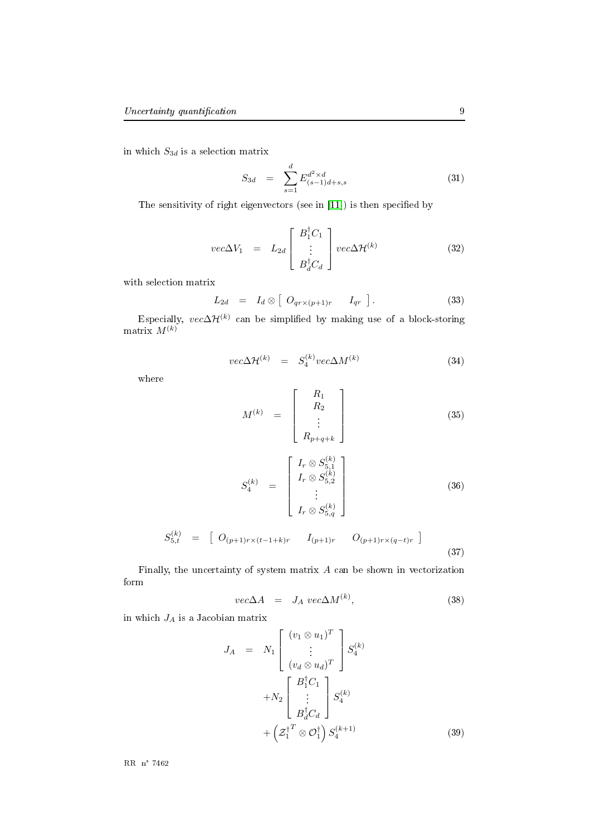in which  $S_{3d}$  is a selection matrix

$$
S_{3d} = \sum_{s=1}^{d} E_{(s-1)d+s,s}^{d^2 \times d} \tag{31}
$$

The sensitivity of right eigenvectors (see in [11]) is then specified by

$$
vec\Delta V_1 = L_{2d} \begin{bmatrix} B_1^{\dagger} C_1 \\ \vdots \\ B_d^{\dagger} C_d \end{bmatrix} vec\Delta \mathcal{H}^{(k)}
$$
(32)

with selection matrix

$$
L_{2d} = I_d \otimes [O_{qr \times (p+1)r} \quad I_{qr}]. \tag{33}
$$

Especially,  $vec\Delta\mathcal{H}^{(k)}$  can be simplified by making use of a block-storing matrix  $M^{(k)}$ 

$$
vec\Delta \mathcal{H}^{(k)} = S_4^{(k)} vec\Delta M^{(k)}
$$
\n(34)

where

$$
M^{(k)} = \begin{bmatrix} R_1 \\ R_2 \\ \vdots \\ R_{p+q+k} \end{bmatrix}
$$
 (35)

$$
S_4^{(k)} = \begin{bmatrix} I_r \otimes S_{5,1}^{(k)} \\ I_r \otimes S_{5,2}^{(k)} \\ \vdots \\ I_r \otimes S_{5,q}^{(k)} \end{bmatrix}
$$
 (36)

$$
S_{5,t}^{(k)} = [O_{(p+1)r \times (t-1+k)r} \quad I_{(p+1)r} \quad O_{(p+1)r \times (q-t)r} \quad (37)
$$

Finally, the uncertainty of system matrix  $A$  can be shown in vectorization form

$$
vec\Delta A = J_A vec\Delta M^{(k)}, \qquad (38)
$$

in which  $J_A$  is a Jacobian matrix

$$
J_A = N_1 \begin{bmatrix} (v_1 \otimes u_1)^T \\ \vdots \\ (v_d \otimes u_d)^T \end{bmatrix} S_4^{(k)}
$$
  
+ 
$$
N_2 \begin{bmatrix} B_1^{\dagger} C_1 \\ \vdots \\ B_d^{\dagger} C_d \end{bmatrix} S_4^{(k)}
$$
  
+ 
$$
\left( \mathcal{Z}_1^{\dagger T} \otimes \mathcal{O}_1^{\dagger} \right) S_4^{(k+1)}
$$
 (39)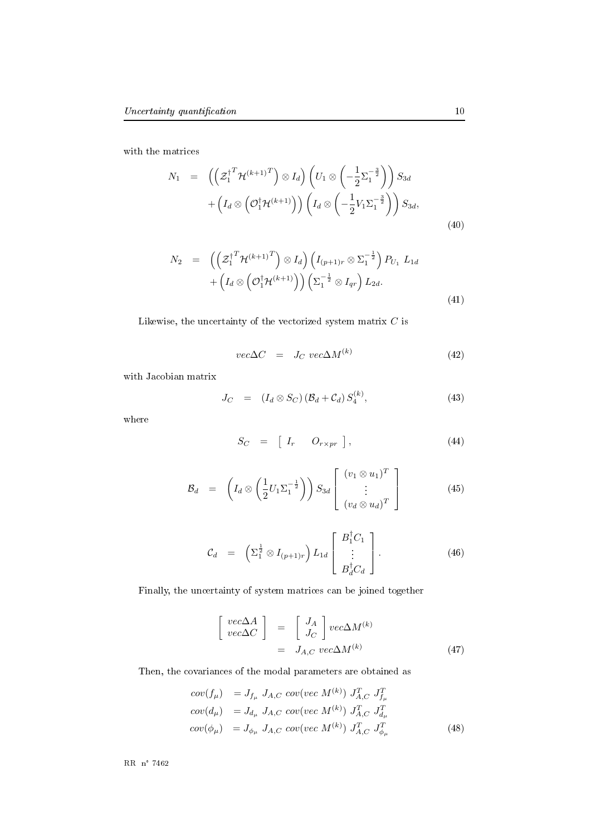with the matrices

$$
N_1 = \left( \left( \mathcal{Z}_1^{\dagger} \mathcal{H}^{(k+1)} \right)^T \right) \otimes I_d \right) \left( U_1 \otimes \left( -\frac{1}{2} \Sigma_1^{-\frac{3}{2}} \right) \right) S_{3d} + \left( I_d \otimes \left( \mathcal{O}_1^{\dagger} \mathcal{H}^{(k+1)} \right) \right) \left( I_d \otimes \left( -\frac{1}{2} V_1 \Sigma_1^{-\frac{3}{2}} \right) \right) S_{3d},
$$
\n
$$
(40)
$$

$$
N_2 = \left( \left( \mathcal{Z}_1^{\dagger T} \mathcal{H}^{(k+1)T} \right) \otimes I_d \right) \left( I_{(p+1)r} \otimes \Sigma_1^{-\frac{1}{2}} \right) P_{U_1} L_{1d}
$$
  
+ 
$$
\left( I_d \otimes \left( \mathcal{O}_1^{\dagger} \mathcal{H}^{(k+1)} \right) \right) \left( \Sigma_1^{-\frac{1}{2}} \otimes I_{qr} \right) L_{2d}.
$$
 (41)

Likewise, the uncertainty of the vectorized system matrix  $C$  is

$$
vec\Delta C = J_C \, vec\Delta M^{(k)} \tag{42}
$$

with Jacobian matrix

$$
J_C = (I_d \otimes S_C) (\mathcal{B}_d + \mathcal{C}_d) S_4^{(k)}, \qquad (43)
$$

where

$$
S_C = [I_r \quad O_{r \times pr} ], \qquad (44)
$$

$$
\mathcal{B}_d = \left(I_d \otimes \left(\frac{1}{2}U_1 \Sigma_1^{-\frac{1}{2}}\right)\right) S_{3d} \left[\begin{array}{c} (v_1 \otimes u_1)^T \\ \vdots \\ (v_d \otimes u_d)^T \end{array}\right]
$$
(45)

$$
\mathcal{C}_d = \left( \Sigma_1^{\frac{1}{2}} \otimes I_{(p+1)r} \right) L_{1d} \begin{bmatrix} B_1^{\dagger} C_1 \\ \vdots \\ B_d^{\dagger} C_d \end{bmatrix} . \tag{46}
$$

Finally, the uncertainty of system matrices can be joined together

$$
\begin{bmatrix} vec\Delta A \\ vec\Delta C \end{bmatrix} = \begin{bmatrix} J_A \\ J_C \end{bmatrix} vec\Delta M^{(k)} \n= J_{A,C} vec\Delta M^{(k)}
$$
\n(47)

Then, the covariances of the modal parameters are obtained as

$$
cov(f_{\mu}) = J_{f_{\mu}} J_{A,C} cov(vec M^{(k)}) J_{A,C}^T J_{f_{\mu}}^T
$$
  
\n
$$
cov(d_{\mu}) = J_{d_{\mu}} J_{A,C} cov(vec M^{(k)}) J_{A,C}^T J_{d_{\mu}}^T
$$
  
\n
$$
cov(\phi_{\mu}) = J_{\phi_{\mu}} J_{A,C} cov(vec M^{(k)}) J_{A,C}^T J_{\phi_{\mu}}^T
$$
\n(48)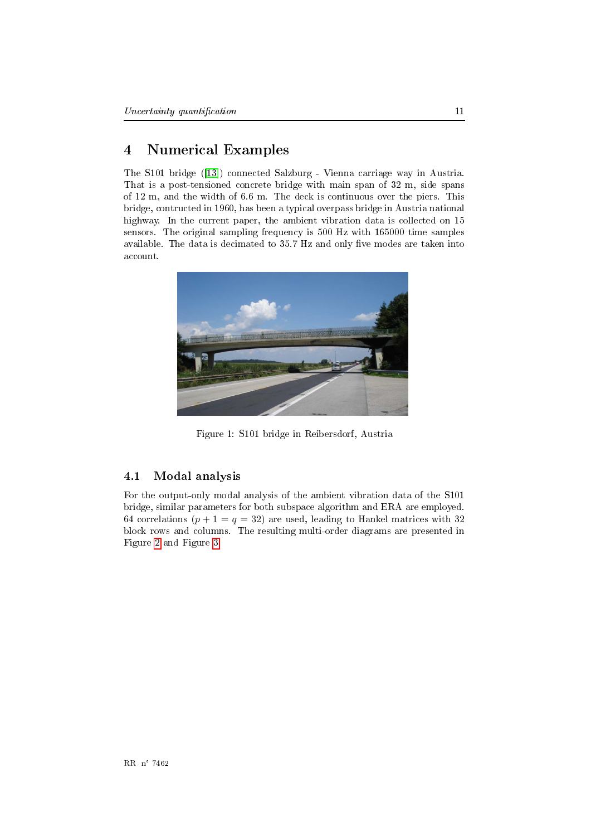#### <span id="page-13-0"></span> $\overline{4}$ **Numerical Examples**

The S101 bridge ([13]) connected Salzburg - Vienna carriage way in Austria. That is a post-tensioned concrete bridge with main span of 32 m, side spans of 12 m, and the width of 6.6 m. The deck is continuous over the piers. This bridge, contructed in 1960, has been a typical overpass bridge in Austria national highway. In the current paper, the ambient vibration data is collected on 15 sensors. The original sampling frequency is 500 Hz with 165000 time samples available. The data is decimated to 35.7 Hz and only five modes are taken into account.



Figure 1: S101 bridge in Reibersdorf, Austria

#### <span id="page-13-1"></span> $4.1$ Modal analysis

For the output-only modal analysis of the ambient vibration data of the S101 bridge, similar parameters for both subspace algorithm and ERA are employed. 64 correlations ( $p + 1 = q = 32$ ) are used, leading to Hankel matrices with 32 block rows and columns. The resulting multi-order diagrams are presented in Figure 2 and Figure 3.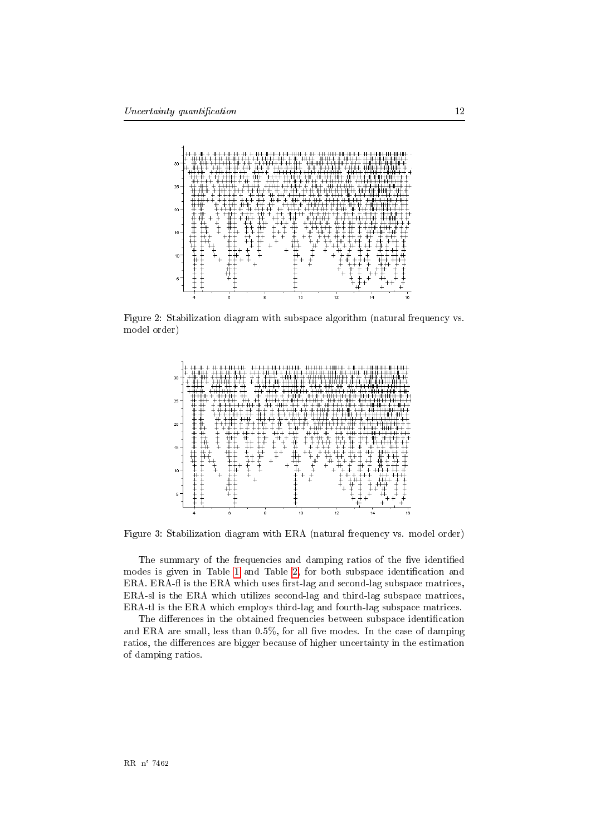

Figure 2: Stabilization diagram with subspace algorithm (natural frequency vs. model order)

<span id="page-14-0"></span>

<span id="page-14-1"></span>Figure 3: Stabilization diagram with ERA (natural frequency vs. model order)

The summary of the frequencies and damping ratios of the five identified modes is given in Table 1 and Table 2, for both subspace identification and ERA. ERA-fl is the ERA which uses first-lag and second-lag subspace matrices, ERA-sl is the ERA which utilizes second-lag and third-lag subspace matrices, ERA-tl is the ERA which employs third-lag and fourth-lag subspace matrices.

The differences in the obtained frequencies between subspace identification and ERA are small, less than  $0.5\%$ , for all five modes. In the case of damping ratios, the differences are bigger because of higher uncertainty in the estimation of damping ratios.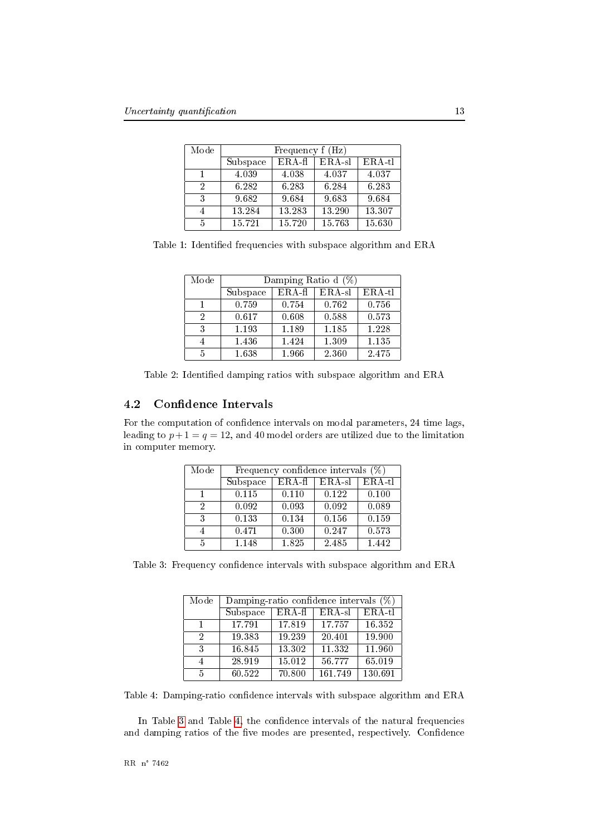<span id="page-15-0"></span>

| Mode | Frequency f (Hz) |          |          |          |
|------|------------------|----------|----------|----------|
|      | Subspace         | $ERA-f1$ | $ERA-s1$ | $ERA-t1$ |
|      | 4.039            | 4.038    | 4.037    | 4.037    |
| 2    | 6.282            | 6.283    | 6.284    | 6.283    |
| 3    | 9.682            | 9.684    | 9.683    | 9.684    |
|      | 13.284           | 13.283   | 13.290   | 13.307   |
| 5    | 15.721           | 15.720   | 15.763   | 15.630   |

Table 1: Identified frequencies with subspace algorithm and ERA

<span id="page-15-1"></span>

| Mode | Damping Ratio d $(\%)$ |          |        |          |
|------|------------------------|----------|--------|----------|
|      | Subspace               | $ERA-f1$ | ERA-sl | $ERA-t1$ |
|      | 0.759                  | 0.754    | 0.762  | 0.756    |
| 2    | 0.617                  | 0.608    | 0.588  | 0.573    |
| 3    | 1.193                  | 1.189    | 1.185  | 1.228    |
|      | 1.436                  | 1.424    | 1.309  | 1.135    |
| 5    | 1.638                  | 1.966    | 2.360  | 2.475    |

Table 2: Identified damping ratios with subspace algorithm and ERA

#### <span id="page-15-4"></span>**Confidence Intervals** 4.2

For the computation of confidence intervals on modal parameters, 24 time lags, leading to  $p+1 = q = 12$ , and 40 model orders are utilized due to the limitation in computer memory.

<span id="page-15-2"></span>

| Mode | Frequency confidence intervals $(\%)$ |                     |         |          |
|------|---------------------------------------|---------------------|---------|----------|
|      | Subspace                              | $ERA-f1$            | $ERA-s$ | $ERA-tl$ |
|      | 0.115                                 | 0.110               | 0.122   | 0.100    |
| 2    | 0.092                                 | 0.093               | 0.092   | 0.089    |
| 3    | 0.133                                 | 0.134               | 0.156   | 0.159    |
|      | 0.471                                 | $\overline{0}$ .300 | 0.247   | 0.573    |
| 5    | 1.148                                 | 1.825               | 2.485   | 1.442    |

Table 3: Frequency confidence intervals with subspace algorithm and ERA

<span id="page-15-3"></span>

| Mode | Damping-ratio confidence intervals $(\%)$ |          |          |          |
|------|-------------------------------------------|----------|----------|----------|
|      | Subspace                                  | $ERA-f1$ | $ERA-sl$ | $ERA-tl$ |
| 1.   | 17.791                                    | 17.819   | 17.757   | 16.352   |
| 2    | 19.383                                    | 19.239   | 20.401   | 19.900   |
| 3    | 16.845                                    | 13.302   | 11.332   | 11.960   |
| 4    | 28.919                                    | 15.012   | 56.777   | 65.019   |
| 5    | 60.522                                    | 70.800   | 161.749  | 130.691  |

Table 4: Damping-ratio confidence intervals with subspace algorithm and ERA

In Table 3 and Table 4, the confidence intervals of the natural frequencies and damping ratios of the five modes are presented, respectively. Confidence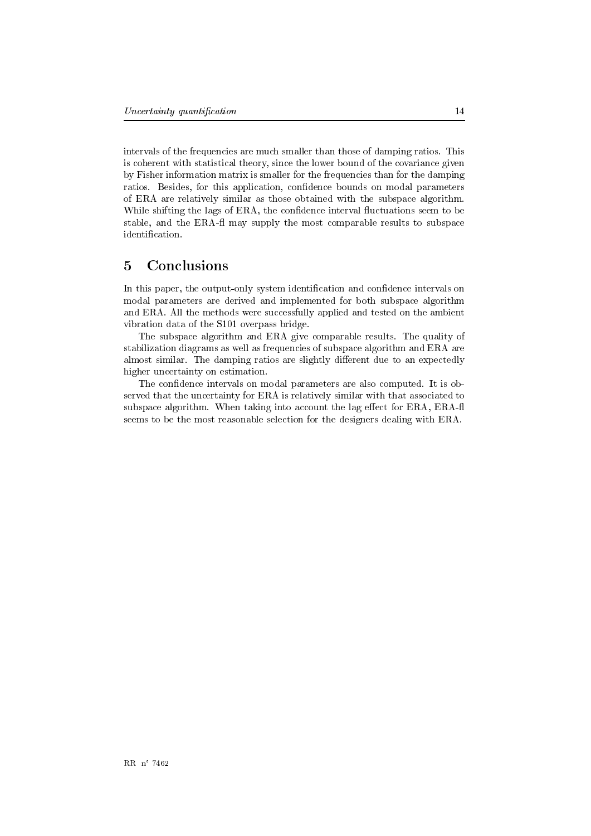intervals of the frequencies are much smaller than those of damping ratios. This is coherent with statistical theory, since the lower bound of the covariance given by Fisher information matrix is smaller for the frequencies than for the damping ration. Besides, for this application, confidence bounds on modal parameters of ERA are relatively similar as those obtained with the subspace algorithm. While shifting the lags of ERA, the confidence interval fluctuations seem to be stable, and the ERA-fl may supply the most comparable results to subspace identification.

#### <span id="page-16-0"></span> $\overline{5}$ Conclusions

In this paper, the output-only system identification and confidence intervals on modal parameters are derived and implemented for both subspace algorithm and ERA. All the methods were successfully applied and tested on the ambient vibration data of the S101 overpass bridge.

The subspace algorithm and ERA give comparable results. The quality of stabilization diagrams as well as frequencies of subspace algorithm and ERA are almost similar. The damping ratios are slightly different due to an expectedly higher uncertainty on estimation.

The confidence intervals on modal parameters are also computed. It is observed that the uncertainty for ERA is relatively similar with that associated to subspace algorithm. When taking into account the lag effect for ERA, ERA-fl seems to be the most reasonable selection for the designers dealing with ERA.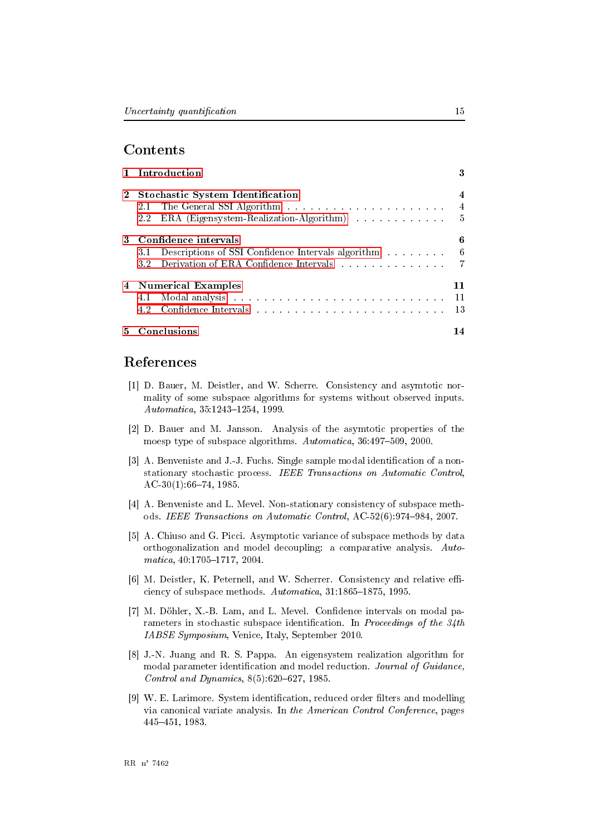## Contents

|                                                         | 1 Introduction                                                                                                                                                                                                                        | 3   |  |  |  |
|---------------------------------------------------------|---------------------------------------------------------------------------------------------------------------------------------------------------------------------------------------------------------------------------------------|-----|--|--|--|
| <b>Stochastic System Identification</b><br>$\mathbf{2}$ |                                                                                                                                                                                                                                       | 4   |  |  |  |
|                                                         |                                                                                                                                                                                                                                       |     |  |  |  |
|                                                         | ERA (Eigensystem-Realization-Algorithm) 5<br>2.2                                                                                                                                                                                      |     |  |  |  |
| 3.                                                      | Confidence intervals                                                                                                                                                                                                                  |     |  |  |  |
|                                                         | 3.1 Descriptions of SSI Confidence Intervals algorithm 6                                                                                                                                                                              |     |  |  |  |
|                                                         | 3.2 Derivation of ERA Confidence Intervals $\ldots \ldots \ldots \ldots \ldots$                                                                                                                                                       |     |  |  |  |
|                                                         | 4 Numerical Examples                                                                                                                                                                                                                  | 11  |  |  |  |
|                                                         |                                                                                                                                                                                                                                       | -11 |  |  |  |
|                                                         | Confidence Intervals in the contract of the contract of the contract of the contract of the contract of the contract of the contract of the contract of the contract of the contract of the contract of the contract of the co<br>4.2 |     |  |  |  |
| $5 -$                                                   | Conclusions                                                                                                                                                                                                                           | 14  |  |  |  |

### References

- <span id="page-17-5"></span><span id="page-17-0"></span>[1] D. Bauer, M. Deistler, and W. Scherre. Consistency and asymtotic normality of some subspace algorithms for systems without observed inputs. Automatica, 35:1243-1254, 1999.
- <span id="page-17-4"></span>[2] D. Bauer and M. Jansson. Analysis of the asymtotic properties of the moesp type of subspace algorithms. Automatica, 36:497-509, 2000.
- <span id="page-17-1"></span>[3] A. Benveniste and J.-J. Fuchs. Single sample modal identification of a nonstationary stochastic process. IEEE Transactions on Automatic Control,  $AC-30(1)$ :66-74, 1985.
- <span id="page-17-7"></span>[4] A. Benveniste and L. Mevel. Non-stationary consistency of subspace methods. IEEE Transactions on Automatic Control, AC-52(6):974-984, 2007.
- <span id="page-17-6"></span>[5] A. Chiuso and G. Picci. Asymptotic variance of subspace methods by data orthogonalization and model decoupling: a comparative analysis. Automatica, 40:1705-1717, 2004.
- <span id="page-17-3"></span>[6] M. Deistler, K. Peternell, and W. Scherrer. Consistency and relative efficiency of subspace methods. Automatica, 31:1865-1875, 1995.
- <span id="page-17-9"></span>[7] M. Döhler, X.-B. Lam, and L. Mevel. Confidence intervals on modal parameters in stochastic subspace identification. In Proceedings of the  $34th$ IABSE Symposium, Venice, Italy, September 2010.
- <span id="page-17-8"></span>[8] J.-N. Juang and R. S. Pappa. An eigensystem realization algorithm for modal parameter identification and model reduction. Journal of Guidance, Control and Dynamics,  $8(5):620-627$ , 1985.
- <span id="page-17-2"></span>[9] W. E. Larimore. System identification, reduced order filters and modelling via canonical variate analysis. In the American Control Conference, pages 445-451, 1983.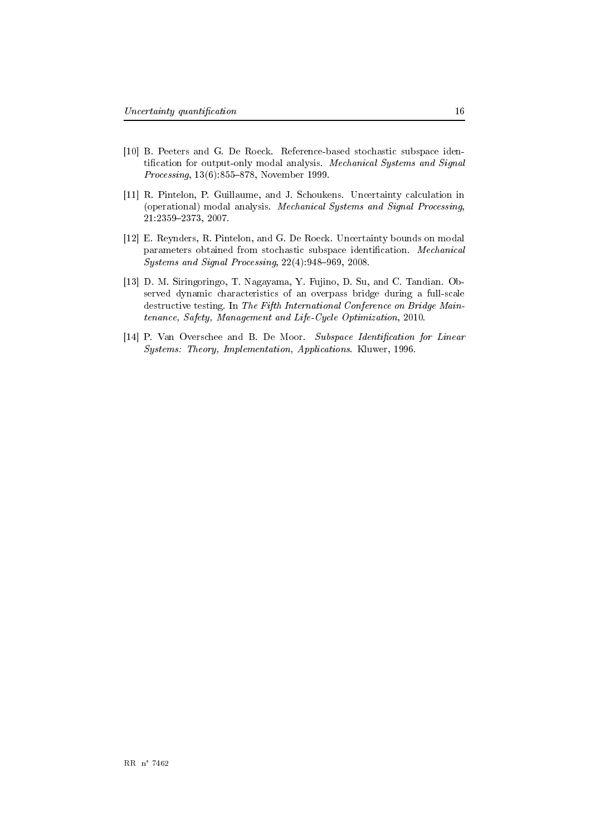- <span id="page-18-1"></span>[10] B. Peeters and G. De Roeck. Reference-based stochastic subspace identification for output-only modal analysis. Mechanical Systems and Signal *Processing*,  $13(6)$ :855-878, November 1999.
- <span id="page-18-3"></span>[11] R. Pintelon, P. Guillaume, and J. Schoukens. Uncertainty calculation in (operational) modal analysis. Mechanical Systems and Signal Processing, 21:2359-2373, 2007.
- <span id="page-18-2"></span>[12] E. Reynders, R. Pintelon, and G. De Roeck. Uncertainty bounds on modal parameters obtained from stochastic subspace identification. Mechanical Systems and Signal Processing, 22(4):948-969, 2008.
- <span id="page-18-4"></span>[13] D. M. Siringoringo, T. Nagayama, Y. Fujino, D. Su, and C. Tandian. Observed dynamic characteristics of an overpass bridge during a full-scale destructive testing. In The Fifth International Conference on Bridge Maintenance, Safety, Management and Life-Cycle Optimization, 2010.
- <span id="page-18-0"></span>[14] P. Van Overschee and B. De Moor. Subspace Identification for Linear Systems: Theory, Implementation, Applications. Kluwer, 1996.